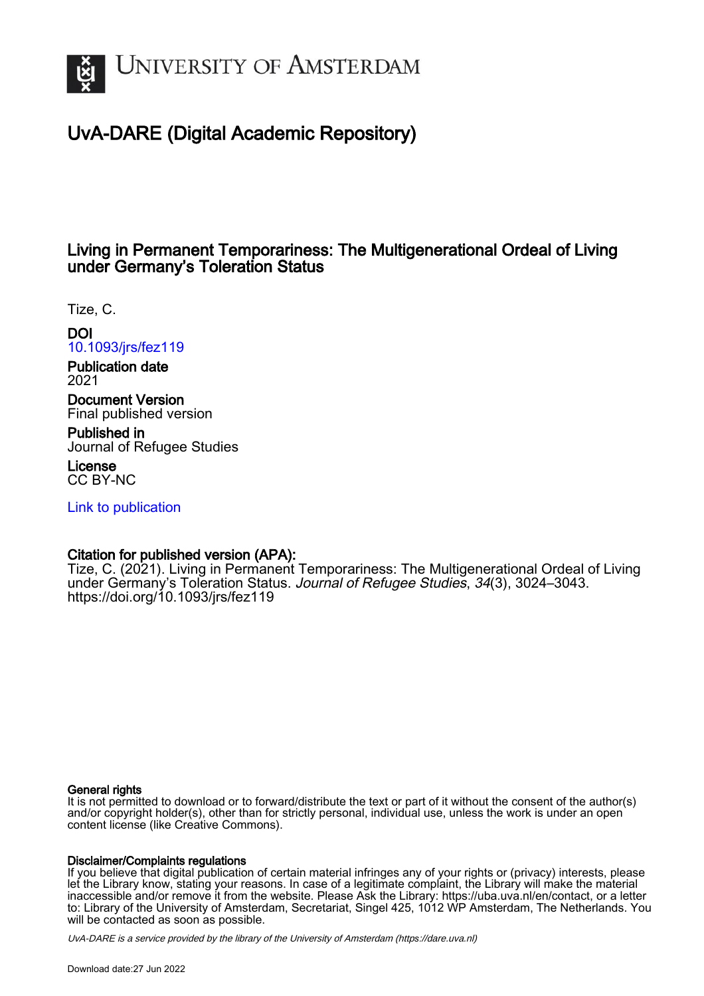

# UvA-DARE (Digital Academic Repository)

# Living in Permanent Temporariness: The Multigenerational Ordeal of Living under Germany's Toleration Status

Tize, C.

DOI [10.1093/jrs/fez119](https://doi.org/10.1093/jrs/fez119)

Publication date 2021

Document Version Final published version

Published in Journal of Refugee Studies

License CC BY-NC

[Link to publication](https://dare.uva.nl/personal/pure/en/publications/living-in-permanent-temporariness-the-multigenerational-ordeal-of-living-under-germanys-toleration-status(bba0196f-642b-46cc-b271-69b0fd086bd0).html)

# Citation for published version (APA):

Tize, C. (2021). Living in Permanent Temporariness: The Multigenerational Ordeal of Living under Germany's Toleration Status. Journal of Refugee Studies, 34(3), 3024–3043. <https://doi.org/10.1093/jrs/fez119>

# General rights

It is not permitted to download or to forward/distribute the text or part of it without the consent of the author(s) and/or copyright holder(s), other than for strictly personal, individual use, unless the work is under an open content license (like Creative Commons).

# Disclaimer/Complaints regulations

If you believe that digital publication of certain material infringes any of your rights or (privacy) interests, please let the Library know, stating your reasons. In case of a legitimate complaint, the Library will make the material inaccessible and/or remove it from the website. Please Ask the Library: https://uba.uva.nl/en/contact, or a letter to: Library of the University of Amsterdam, Secretariat, Singel 425, 1012 WP Amsterdam, The Netherlands. You will be contacted as soon as possible.

UvA-DARE is a service provided by the library of the University of Amsterdam (http*s*://dare.uva.nl)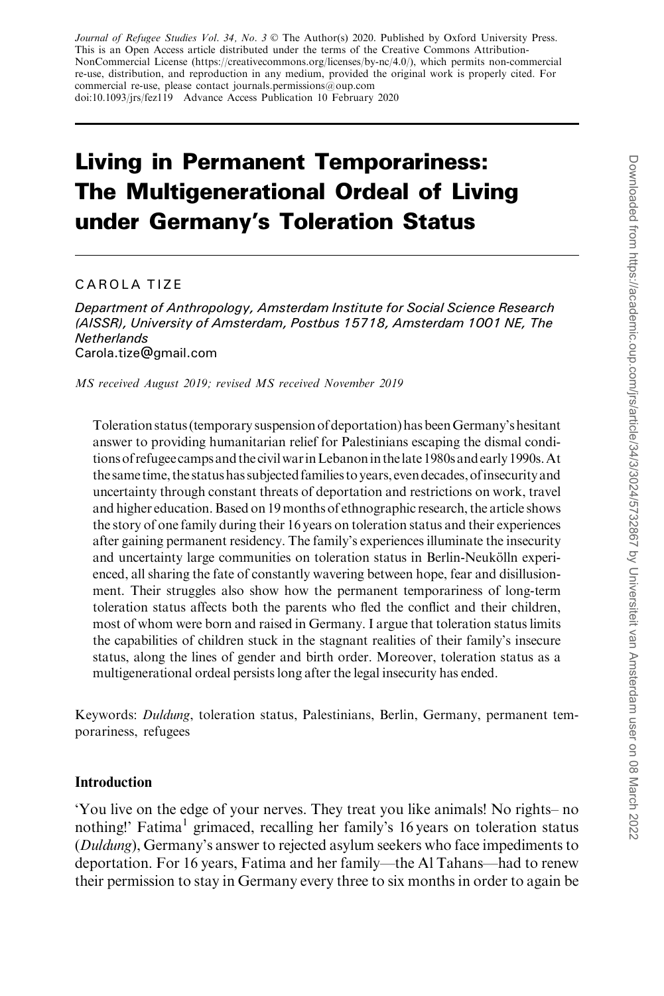Journal of Refugee Studies Vol. 34, No. 3 © The Author(s) 2020. Published by Oxford University Press. This is an Open Access article distributed under the terms of the Creative Commons Attribution-NonCommercial License (https://creativecommons.org/licenses/by-nc/4.0/), which permits non-commercial re-use, distribution, and reproduction in any medium, provided the original work is properly cited. For commercial re-use, please contact journals.permissions@oup.com doi:10.1093/jrs/fez119 Advance Access Publication 10 February 2020

# Living in Permanent Temporariness: The Multigenerational Ordeal of Living under Germany's Toleration Status

### CAROLA TIZE

Department of Anthropology, Amsterdam Institute for Social Science Research (AISSR), University of Amsterdam, Postbus 15718, Amsterdam 1001 NE, The **Netherlands** Carola.tize@gmail.com

MS received August 2019; revised MS received November 2019

Toleration status (temporary suspension of deportation) has beenGermany's hesitant answer to providing humanitarian relief for Palestinians escaping the dismal conditions of refugeecamps and the civilwarinLebanonin thelate 1980s and early 1990s.At the same time, the status has subjected families to years, even decades, ofinsecurity and uncertainty through constant threats of deportation and restrictions on work, travel and higher education. Based on 19 months of ethnographic research, the article shows the story of one family during their 16 years on toleration status and their experiences after gaining permanent residency. The family's experiences illuminate the insecurity and uncertainty large communities on toleration status in Berlin-Neukölln experienced, all sharing the fate of constantly wavering between hope, fear and disillusionment. Their struggles also show how the permanent temporariness of long-term toleration status affects both the parents who fled the conflict and their children, most of whom were born and raised in Germany. I argue that toleration status limits the capabilities of children stuck in the stagnant realities of their family's insecure status, along the lines of gender and birth order. Moreover, toleration status as a multigenerational ordeal persists long after the legal insecurity has ended.

Keywords: Duldung, toleration status, Palestinians, Berlin, Germany, permanent temporariness, refugees

#### Introduction

'You live on the edge of your nerves. They treat you like animals! No rights– no nothing!' Fatima<sup>1</sup> grimaced, recalling her family's 16 years on toleration status (Duldung), Germany's answer to rejected asylum seekers who face impediments to deportation. For 16 years, Fatima and her family—the Al Tahans—had to renew their permission to stay in Germany every three to six months in order to again be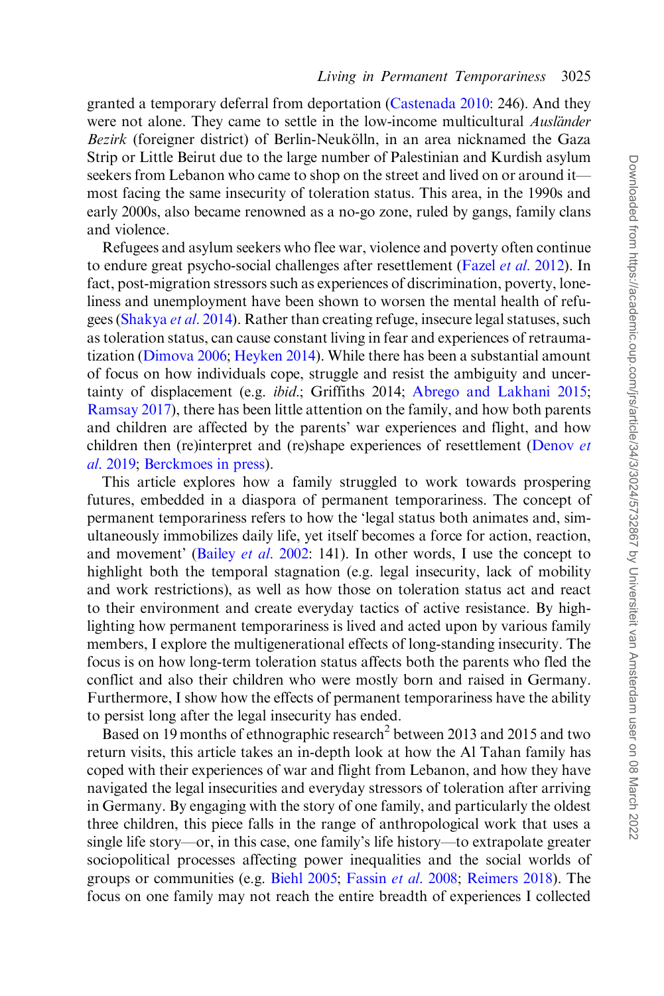granted a temporary deferral from deportation [\(Castenada 2010](#page-18-0): 246). And they were not alone. They came to settle in the low-income multicultural *Ausländer* Bezirk (foreigner district) of Berlin-Neukölln, in an area nicknamed the Gaza Strip or Little Beirut due to the large number of Palestinian and Kurdish asylum seekers from Lebanon who came to shop on the street and lived on or around it most facing the same insecurity of toleration status. This area, in the 1990s and early 2000s, also became renowned as a no-go zone, ruled by gangs, family clans and violence.

Refugees and asylum seekers who flee war, violence and poverty often continue to endure great psycho-social challenges after resettlement (Fazel *et al.* 2012). In fact, post-migration stressors such as experiences of discrimination, poverty, loneliness and unemployment have been shown to worsen the mental health of refugees ([Shakya](#page-20-0) et al. 2014). Rather than creating refuge, insecure legal statuses, such as toleration status, can cause constant living in fear and experiences of retraumatization [\(Dimova 2006](#page-18-0); [Heyken 2014](#page-19-0)). While there has been a substantial amount of focus on how individuals cope, struggle and resist the ambiguity and uncertainty of displacement (e.g. ibid.; Griffiths 2014; [Abrego and Lakhani 2015](#page-18-0); [Ramsay 2017](#page-20-0)), there has been little attention on the family, and how both parents and children are affected by the parents' war experiences and flight, and how children then (re)interpret and (re)shape experiences of resettlement [\(Denov](#page-18-0) et al[. 2019;](#page-18-0) [Berckmoes in press](#page-18-0)).

This article explores how a family struggled to work towards prospering futures, embedded in a diaspora of permanent temporariness. The concept of permanent temporariness refers to how the 'legal status both animates and, simultaneously immobilizes daily life, yet itself becomes a force for action, reaction, and movement' (Bailey et al[. 2002:](#page-18-0) 141). In other words, I use the concept to highlight both the temporal stagnation (e.g. legal insecurity, lack of mobility and work restrictions), as well as how those on toleration status act and react to their environment and create everyday tactics of active resistance. By highlighting how permanent temporariness is lived and acted upon by various family members, I explore the multigenerational effects of long-standing insecurity. The focus is on how long-term toleration status affects both the parents who fled the conflict and also their children who were mostly born and raised in Germany. Furthermore, I show how the effects of permanent temporariness have the ability to persist long after the legal insecurity has ended.

Based on 19 months of ethnographic research<sup>2</sup> between 2013 and 2015 and two return visits, this article takes an in-depth look at how the Al Tahan family has coped with their experiences of war and flight from Lebanon, and how they have navigated the legal insecurities and everyday stressors of toleration after arriving in Germany. By engaging with the story of one family, and particularly the oldest three children, this piece falls in the range of anthropological work that uses a single life story—or, in this case, one family's life history—to extrapolate greater sociopolitical processes affecting power inequalities and the social worlds of groups or communities (e.g. [Biehl 2005;](#page-18-0) [Fassin](#page-19-0) et al. 2008; [Reimers 2018](#page-20-0)). The focus on one family may not reach the entire breadth of experiences I collected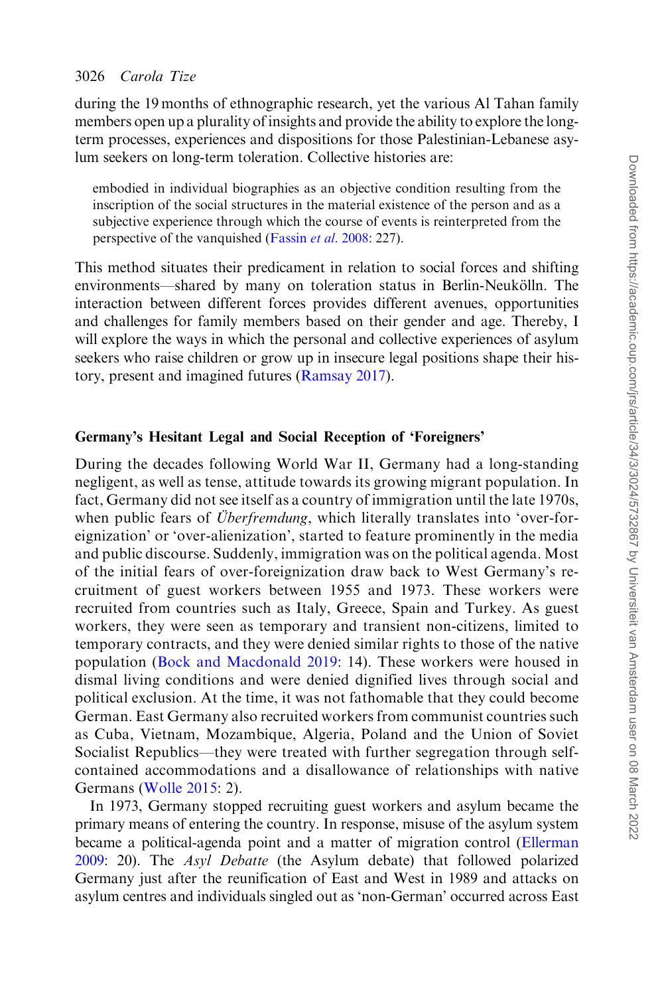during the 19 months of ethnographic research, yet the various Al Tahan family members open up a plurality of insights and provide the ability to explore the longterm processes, experiences and dispositions for those Palestinian-Lebanese asylum seekers on long-term toleration. Collective histories are:

embodied in individual biographies as an objective condition resulting from the inscription of the social structures in the material existence of the person and as a subjective experience through which the course of events is reinterpreted from the perspective of the vanquished ([Fassin](#page-19-0) et al. 2008: 227).

This method situates their predicament in relation to social forces and shifting environments—shared by many on toleration status in Berlin-Neukölln. The interaction between different forces provides different avenues, opportunities and challenges for family members based on their gender and age. Thereby, I will explore the ways in which the personal and collective experiences of asylum seekers who raise children or grow up in insecure legal positions shape their history, present and imagined futures [\(Ramsay 2017](#page-20-0)).

#### Germany's Hesitant Legal and Social Reception of 'Foreigners'

During the decades following World War II, Germany had a long-standing negligent, as well as tense, attitude towards its growing migrant population. In fact, Germany did not see itself as a country of immigration until the late 1970s, when public fears of *Uberfremdung*, which literally translates into 'over-foreignization' or 'over-alienization', started to feature prominently in the media and public discourse. Suddenly, immigration was on the political agenda. Most of the initial fears of over-foreignization draw back to West Germany's recruitment of guest workers between 1955 and 1973. These workers were recruited from countries such as Italy, Greece, Spain and Turkey. As guest workers, they were seen as temporary and transient non-citizens, limited to temporary contracts, and they were denied similar rights to those of the native population ([Bock and Macdonald 2019](#page-18-0): 14). These workers were housed in dismal living conditions and were denied dignified lives through social and political exclusion. At the time, it was not fathomable that they could become German. East Germany also recruited workers from communist countries such as Cuba, Vietnam, Mozambique, Algeria, Poland and the Union of Soviet Socialist Republics—they were treated with further segregation through selfcontained accommodations and a disallowance of relationships with native Germans ([Wolle 2015:](#page-20-0) 2).

In 1973, Germany stopped recruiting guest workers and asylum became the primary means of entering the country. In response, misuse of the asylum system became a political-agenda point and a matter of migration control [\(Ellerman](#page-18-0) [2009:](#page-18-0) 20). The Asyl Debatte (the Asylum debate) that followed polarized Germany just after the reunification of East and West in 1989 and attacks on asylum centres and individuals singled out as 'non-German' occurred across East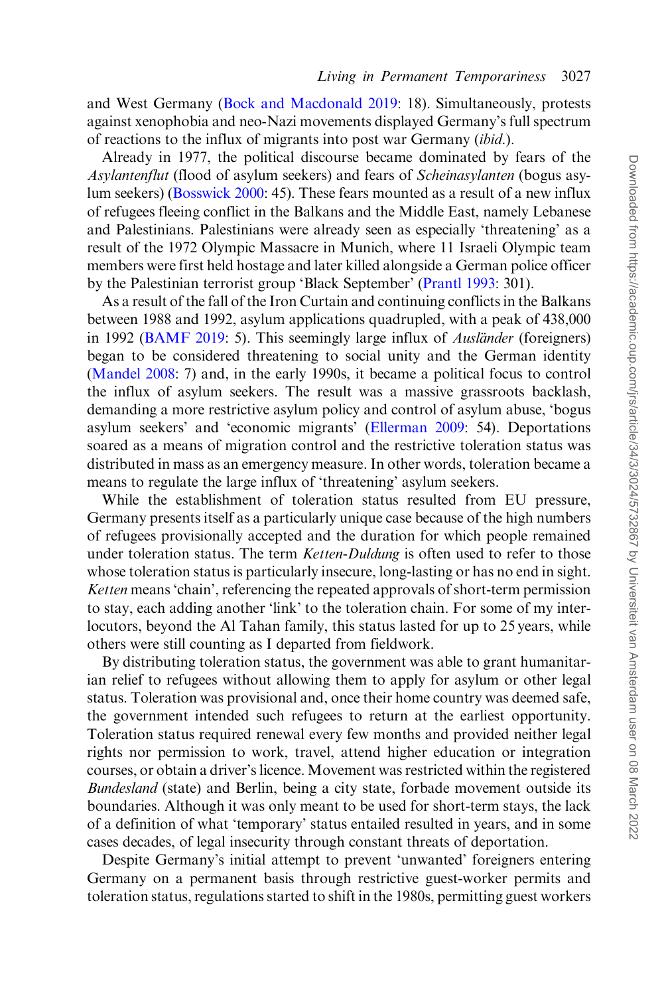and West Germany ([Bock and Macdonald 2019:](#page-18-0) 18). Simultaneously, protests against xenophobia and neo-Nazi movements displayed Germany's full spectrum of reactions to the influx of migrants into post war Germany (ibid.).

Already in 1977, the political discourse became dominated by fears of the Asylantenflut (flood of asylum seekers) and fears of Scheinasylanten (bogus asylum seekers) [\(Bosswick 2000](#page-18-0): 45). These fears mounted as a result of a new influx of refugees fleeing conflict in the Balkans and the Middle East, namely Lebanese and Palestinians. Palestinians were already seen as especially 'threatening' as a result of the 1972 Olympic Massacre in Munich, where 11 Israeli Olympic team members were first held hostage and later killed alongside a German police officer by the Palestinian terrorist group 'Black September' ([Prantl 1993](#page-19-0): 301).

As a result of the fall of the Iron Curtain and continuing conflicts in the Balkans between 1988 and 1992, asylum applications quadrupled, with a peak of 438,000 in 1992 [\(BAMF 2019:](#page-18-0) 5). This seemingly large influx of *Auslander* (foreigners) began to be considered threatening to social unity and the German identity [\(Mandel 2008:](#page-19-0) 7) and, in the early 1990s, it became a political focus to control the influx of asylum seekers. The result was a massive grassroots backlash, demanding a more restrictive asylum policy and control of asylum abuse, 'bogus asylum seekers' and 'economic migrants' ([Ellerman 2009:](#page-18-0) 54). Deportations soared as a means of migration control and the restrictive toleration status was distributed in mass as an emergency measure. In other words, toleration became a means to regulate the large influx of 'threatening' asylum seekers.

While the establishment of toleration status resulted from EU pressure, Germany presents itself as a particularly unique case because of the high numbers of refugees provisionally accepted and the duration for which people remained under toleration status. The term *Ketten-Duldung* is often used to refer to those whose toleration status is particularly insecure, long-lasting or has no end in sight. Ketten means 'chain', referencing the repeated approvals of short-term permission to stay, each adding another 'link' to the toleration chain. For some of my interlocutors, beyond the Al Tahan family, this status lasted for up to 25 years, while others were still counting as I departed from fieldwork.

By distributing toleration status, the government was able to grant humanitarian relief to refugees without allowing them to apply for asylum or other legal status. Toleration was provisional and, once their home country was deemed safe, the government intended such refugees to return at the earliest opportunity. Toleration status required renewal every few months and provided neither legal rights nor permission to work, travel, attend higher education or integration courses, or obtain a driver's licence. Movement was restricted within the registered Bundesland (state) and Berlin, being a city state, forbade movement outside its boundaries. Although it was only meant to be used for short-term stays, the lack of a definition of what 'temporary' status entailed resulted in years, and in some cases decades, of legal insecurity through constant threats of deportation.

Despite Germany's initial attempt to prevent 'unwanted' foreigners entering Germany on a permanent basis through restrictive guest-worker permits and toleration status, regulations started to shift in the 1980s, permitting guest workers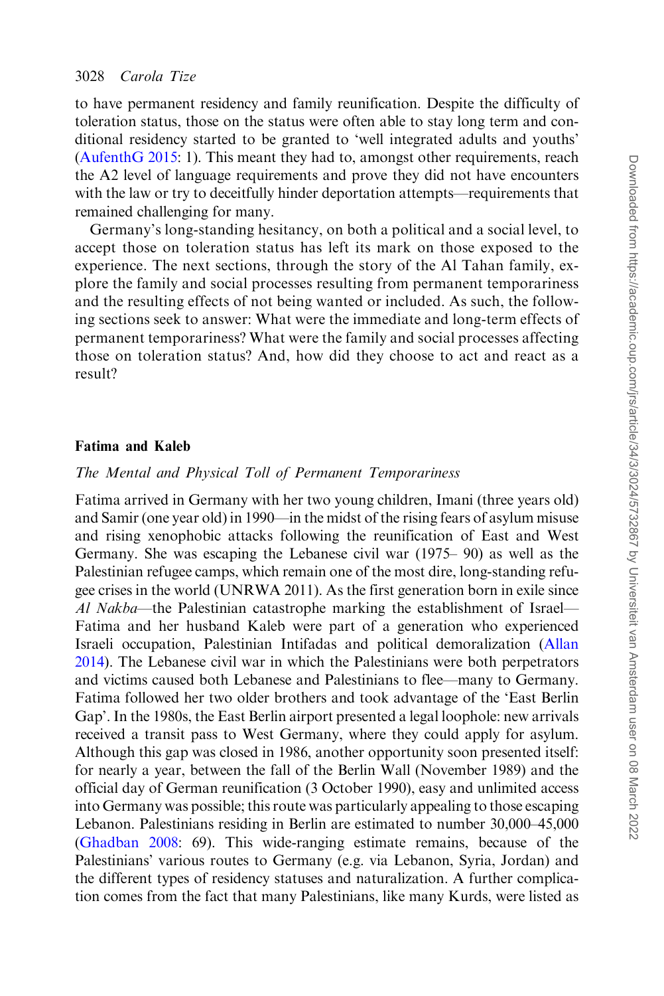to have permanent residency and family reunification. Despite the difficulty of toleration status, those on the status were often able to stay long term and conditional residency started to be granted to 'well integrated adults and youths' [\(AufenthG 2015](#page-18-0): 1). This meant they had to, amongst other requirements, reach the A2 level of language requirements and prove they did not have encounters with the law or try to deceitfully hinder deportation attempts—requirements that remained challenging for many.

Germany's long-standing hesitancy, on both a political and a social level, to accept those on toleration status has left its mark on those exposed to the experience. The next sections, through the story of the Al Tahan family, explore the family and social processes resulting from permanent temporariness and the resulting effects of not being wanted or included. As such, the following sections seek to answer: What were the immediate and long-term effects of permanent temporariness? What were the family and social processes affecting those on toleration status? And, how did they choose to act and react as a result?

### Fatima and Kaleb

#### The Mental and Physical Toll of Permanent Temporariness

Fatima arrived in Germany with her two young children, Imani (three years old) and Samir (one year old) in 1990—in the midst of the rising fears of asylum misuse and rising xenophobic attacks following the reunification of East and West Germany. She was escaping the Lebanese civil war (1975– 90) as well as the Palestinian refugee camps, which remain one of the most dire, long-standing refugee crises in the world (UNRWA 2011). As the first generation born in exile since Al Nakba—the Palestinian catastrophe marking the establishment of Israel— Fatima and her husband Kaleb were part of a generation who experienced Israeli occupation, Palestinian Intifadas and political demoralization ([Allan](#page-18-0) [2014\)](#page-18-0). The Lebanese civil war in which the Palestinians were both perpetrators and victims caused both Lebanese and Palestinians to flee—many to Germany. Fatima followed her two older brothers and took advantage of the 'East Berlin Gap'. In the 1980s, the East Berlin airport presented a legal loophole: new arrivals received a transit pass to West Germany, where they could apply for asylum. Although this gap was closed in 1986, another opportunity soon presented itself: for nearly a year, between the fall of the Berlin Wall (November 1989) and the official day of German reunification (3 October 1990), easy and unlimited access into Germany was possible; this route was particularly appealing to those escaping Lebanon. Palestinians residing in Berlin are estimated to number 30,000–45,000 [\(Ghadban 2008:](#page-19-0) 69). This wide-ranging estimate remains, because of the Palestinians' various routes to Germany (e.g. via Lebanon, Syria, Jordan) and the different types of residency statuses and naturalization. A further complication comes from the fact that many Palestinians, like many Kurds, were listed as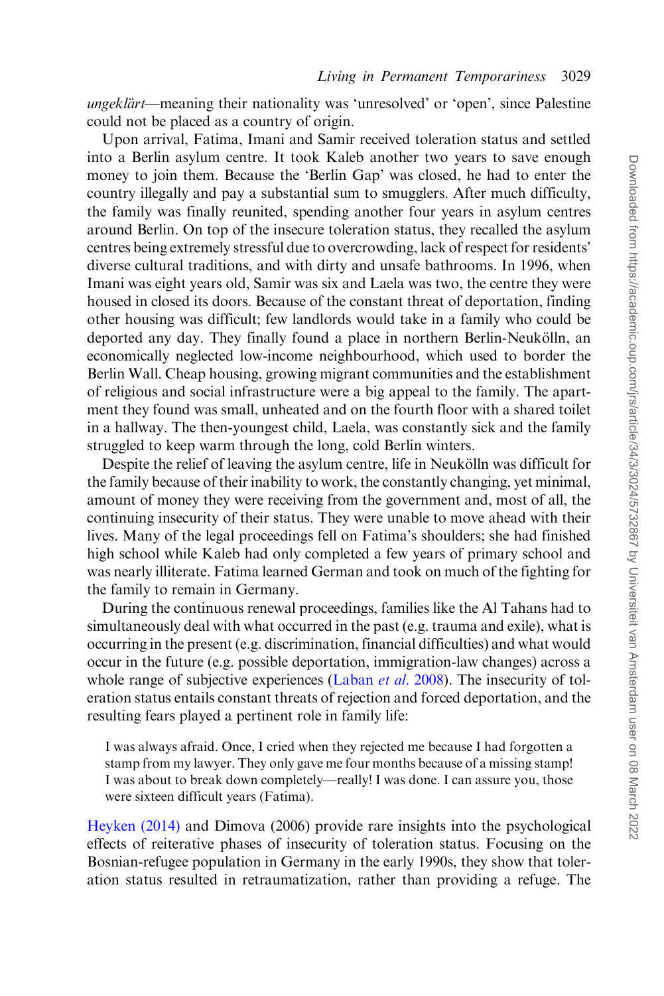ungeklärt—meaning their nationality was 'unresolved' or 'open', since Palestine could not be placed as a country of origin.

Upon arrival, Fatima, Imani and Samir received toleration status and settled into a Berlin asylum centre. It took Kaleb another two years to save enough money to join them. Because the 'Berlin Gap' was closed, he had to enter the country illegally and pay a substantial sum to smugglers. After much difficulty, the family was finally reunited, spending another four years in asylum centres around Berlin. On top of the insecure toleration status, they recalled the asylum centres being extremely stressful due to overcrowding, lack of respect for residents' diverse cultural traditions, and with dirty and unsafe bathrooms. In 1996, when Imani was eight years old, Samir was six and Laela was two, the centre they were housed in closed its doors. Because of the constant threat of deportation, finding other housing was difficult; few landlords would take in a family who could be deported any day. They finally found a place in northern Berlin-Neukölln, an economically neglected low-income neighbourhood, which used to border the Berlin Wall. Cheap housing, growing migrant communities and the establishment of religious and social infrastructure were a big appeal to the family. The apartment they found was small, unheated and on the fourth floor with a shared toilet in a hallway. The then-youngest child, Laela, was constantly sick and the family struggled to keep warm through the long, cold Berlin winters.

Despite the relief of leaving the asylum centre, life in Neukölln was difficult for the family because of their inability to work, the constantly changing, yet minimal, amount of money they were receiving from the government and, most of all, the continuing insecurity of their status. They were unable to move ahead with their lives. Many of the legal proceedings fell on Fatima's shoulders; she had finished high school while Kaleb had only completed a few years of primary school and was nearly illiterate. Fatima learned German and took on much of the fighting for the family to remain in Germany.

During the continuous renewal proceedings, families like the Al Tahans had to simultaneously deal with what occurred in the past (e.g. trauma and exile), what is occurring in the present (e.g. discrimination, financial difficulties) and what would occur in the future (e.g. possible deportation, immigration-law changes) across a whole range of subjective experiences ([Laban](#page-19-0) *et al.* 2008). The insecurity of toleration status entails constant threats of rejection and forced deportation, and the resulting fears played a pertinent role in family life:

I was always afraid. Once, I cried when they rejected me because I had forgotten a stamp from my lawyer. They only gave me four months because of a missing stamp! I was about to break down completely—really! I was done. I can assure you, those were sixteen difficult years (Fatima).

[Heyken \(2014\)](#page-19-0) and Dimova (2006) provide rare insights into the psychological effects of reiterative phases of insecurity of toleration status. Focusing on the Bosnian-refugee population in Germany in the early 1990s, they show that toleration status resulted in retraumatization, rather than providing a refuge. The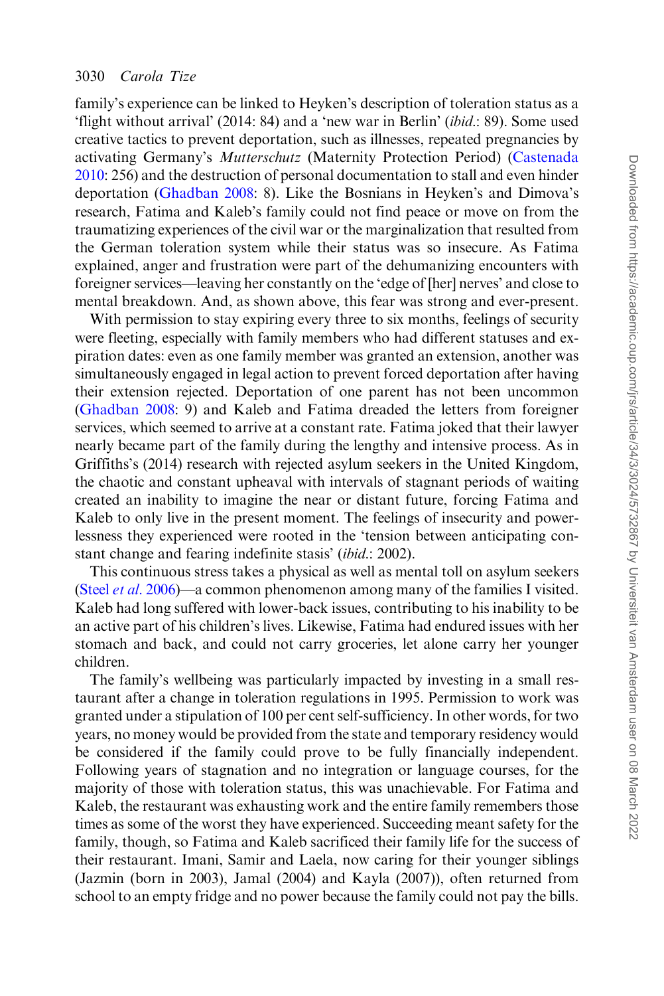family's experience can be linked to Heyken's description of toleration status as a 'flight without arrival' (2014: 84) and a 'new war in Berlin' (ibid.: 89). Some used creative tactics to prevent deportation, such as illnesses, repeated pregnancies by activating Germany's Mutterschutz (Maternity Protection Period) ([Castenada](#page-18-0) [2010:](#page-18-0) 256) and the destruction of personal documentation to stall and even hinder deportation [\(Ghadban 2008](#page-19-0): 8). Like the Bosnians in Heyken's and Dimova's research, Fatima and Kaleb's family could not find peace or move on from the traumatizing experiences of the civil war or the marginalization that resulted from the German toleration system while their status was so insecure. As Fatima explained, anger and frustration were part of the dehumanizing encounters with foreigner services—leaving her constantly on the 'edge of [her] nerves' and close to mental breakdown. And, as shown above, this fear was strong and ever-present.

With permission to stay expiring every three to six months, feelings of security were fleeting, especially with family members who had different statuses and expiration dates: even as one family member was granted an extension, another was simultaneously engaged in legal action to prevent forced deportation after having their extension rejected. Deportation of one parent has not been uncommon [\(Ghadban 2008:](#page-19-0) 9) and Kaleb and Fatima dreaded the letters from foreigner services, which seemed to arrive at a constant rate. Fatima joked that their lawyer nearly became part of the family during the lengthy and intensive process. As in Griffiths's (2014) research with rejected asylum seekers in the United Kingdom, the chaotic and constant upheaval with intervals of stagnant periods of waiting created an inability to imagine the near or distant future, forcing Fatima and Kaleb to only live in the present moment. The feelings of insecurity and powerlessness they experienced were rooted in the 'tension between anticipating constant change and fearing indefinite stasis' (ibid.: 2002).

This continuous stress takes a physical as well as mental toll on asylum seekers (Steel et al[. 2006\)](#page-20-0)—a common phenomenon among many of the families I visited. Kaleb had long suffered with lower-back issues, contributing to his inability to be an active part of his children's lives. Likewise, Fatima had endured issues with her stomach and back, and could not carry groceries, let alone carry her younger children.

The family's wellbeing was particularly impacted by investing in a small restaurant after a change in toleration regulations in 1995. Permission to work was granted under a stipulation of 100 per cent self-sufficiency. In other words, for two years, no money would be provided from the state and temporary residency would be considered if the family could prove to be fully financially independent. Following years of stagnation and no integration or language courses, for the majority of those with toleration status, this was unachievable. For Fatima and Kaleb, the restaurant was exhausting work and the entire family remembers those times as some of the worst they have experienced. Succeeding meant safety for the family, though, so Fatima and Kaleb sacrificed their family life for the success of their restaurant. Imani, Samir and Laela, now caring for their younger siblings (Jazmin (born in 2003), Jamal (2004) and Kayla (2007)), often returned from school to an empty fridge and no power because the family could not pay the bills.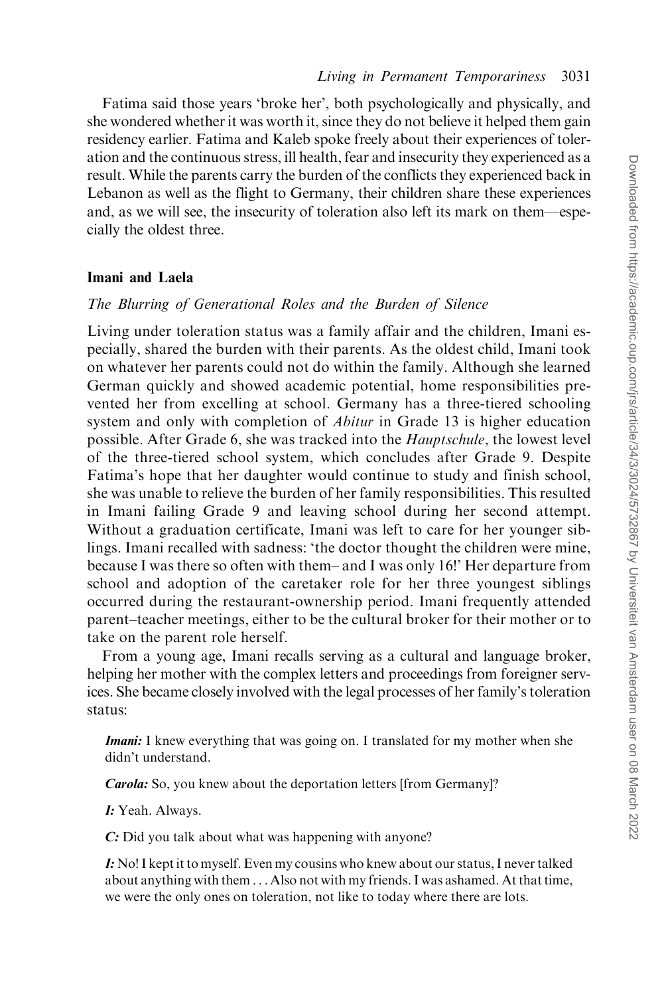Fatima said those years 'broke her', both psychologically and physically, and she wondered whether it was worth it, since they do not believe it helped them gain residency earlier. Fatima and Kaleb spoke freely about their experiences of toleration and the continuous stress, ill health, fear and insecurity they experienced as a result. While the parents carry the burden of the conflicts they experienced back in Lebanon as well as the flight to Germany, their children share these experiences and, as we will see, the insecurity of toleration also left its mark on them—especially the oldest three.

### Imani and Laela

#### The Blurring of Generational Roles and the Burden of Silence

Living under toleration status was a family affair and the children, Imani especially, shared the burden with their parents. As the oldest child, Imani took on whatever her parents could not do within the family. Although she learned German quickly and showed academic potential, home responsibilities prevented her from excelling at school. Germany has a three-tiered schooling system and only with completion of *Abitur* in Grade 13 is higher education possible. After Grade 6, she was tracked into the Hauptschule, the lowest level of the three-tiered school system, which concludes after Grade 9. Despite Fatima's hope that her daughter would continue to study and finish school, she was unable to relieve the burden of her family responsibilities. This resulted in Imani failing Grade 9 and leaving school during her second attempt. Without a graduation certificate, Imani was left to care for her younger siblings. Imani recalled with sadness: 'the doctor thought the children were mine, because I was there so often with them– and I was only 16!' Her departure from school and adoption of the caretaker role for her three youngest siblings occurred during the restaurant-ownership period. Imani frequently attended parent–teacher meetings, either to be the cultural broker for their mother or to take on the parent role herself.

From a young age, Imani recalls serving as a cultural and language broker, helping her mother with the complex letters and proceedings from foreigner services. She became closely involved with the legal processes of her family's toleration status:

**Imani:** I knew everything that was going on. I translated for my mother when she didn't understand.

Carola: So, you knew about the deportation letters [from Germany]?

I: Yeah. Always.

C: Did you talk about what was happening with anyone?

I: No! I kept it to myself. Even my cousins who knew about our status, I never talked about anything with them . . . Also not with my friends. I was ashamed. At that time, we were the only ones on toleration, not like to today where there are lots.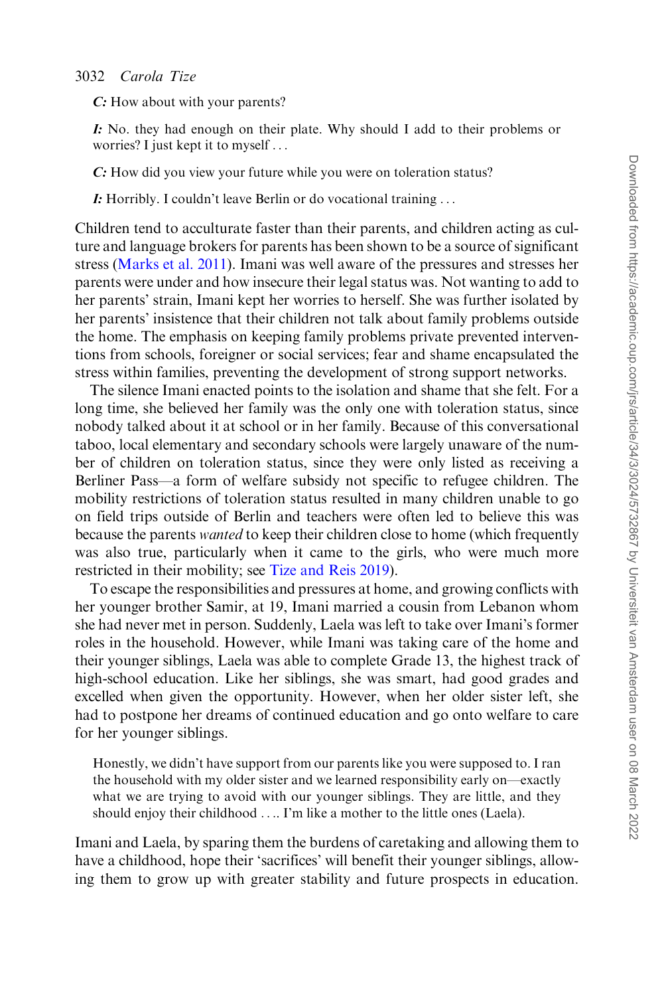C: How about with your parents?

I: No. they had enough on their plate. Why should I add to their problems or worries? I just kept it to myself ...

C: How did you view your future while you were on toleration status?

I: Horribly. I couldn't leave Berlin or do vocational training ...

Children tend to acculturate faster than their parents, and children acting as culture and language brokers for parents has been shown to be a source of significant stress [\(Marks et al. 2011](#page-19-0)). Imani was well aware of the pressures and stresses her parents were under and how insecure their legal status was. Not wanting to add to her parents' strain, Imani kept her worries to herself. She was further isolated by her parents' insistence that their children not talk about family problems outside the home. The emphasis on keeping family problems private prevented interventions from schools, foreigner or social services; fear and shame encapsulated the stress within families, preventing the development of strong support networks.

The silence Imani enacted points to the isolation and shame that she felt. For a long time, she believed her family was the only one with toleration status, since nobody talked about it at school or in her family. Because of this conversational taboo, local elementary and secondary schools were largely unaware of the number of children on toleration status, since they were only listed as receiving a Berliner Pass—a form of welfare subsidy not specific to refugee children. The mobility restrictions of toleration status resulted in many children unable to go on field trips outside of Berlin and teachers were often led to believe this was because the parents *wanted* to keep their children close to home (which frequently was also true, particularly when it came to the girls, who were much more restricted in their mobility; see [Tize and Reis 2019](#page-20-0)).

To escape the responsibilities and pressures at home, and growing conflicts with her younger brother Samir, at 19, Imani married a cousin from Lebanon whom she had never met in person. Suddenly, Laela was left to take over Imani's former roles in the household. However, while Imani was taking care of the home and their younger siblings, Laela was able to complete Grade 13, the highest track of high-school education. Like her siblings, she was smart, had good grades and excelled when given the opportunity. However, when her older sister left, she had to postpone her dreams of continued education and go onto welfare to care for her younger siblings.

Honestly, we didn't have support from our parents like you were supposed to. I ran the household with my older sister and we learned responsibility early on—exactly what we are trying to avoid with our younger siblings. They are little, and they should enjoy their childhood .... I'm like a mother to the little ones (Laela).

Imani and Laela, by sparing them the burdens of caretaking and allowing them to have a childhood, hope their 'sacrifices' will benefit their younger siblings, allowing them to grow up with greater stability and future prospects in education.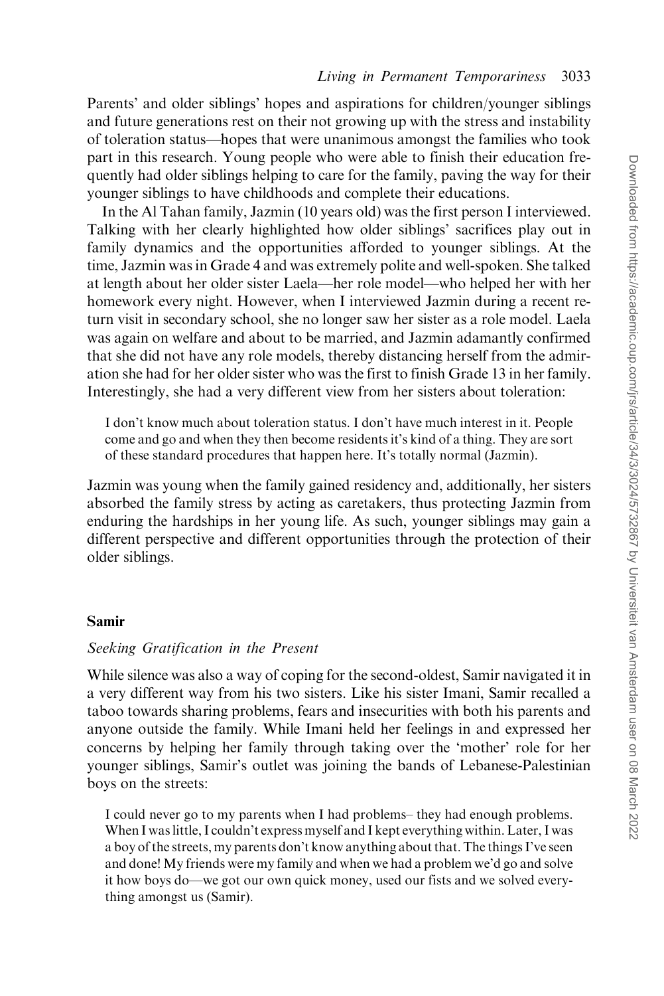Parents' and older siblings' hopes and aspirations for children/younger siblings and future generations rest on their not growing up with the stress and instability of toleration status—hopes that were unanimous amongst the families who took part in this research. Young people who were able to finish their education frequently had older siblings helping to care for the family, paving the way for their younger siblings to have childhoods and complete their educations.

In the Al Tahan family, Jazmin (10 years old) was the first person I interviewed. Talking with her clearly highlighted how older siblings' sacrifices play out in family dynamics and the opportunities afforded to younger siblings. At the time, Jazmin was in Grade 4 and was extremely polite and well-spoken. She talked at length about her older sister Laela—her role model—who helped her with her homework every night. However, when I interviewed Jazmin during a recent return visit in secondary school, she no longer saw her sister as a role model. Laela was again on welfare and about to be married, and Jazmin adamantly confirmed that she did not have any role models, thereby distancing herself from the admiration she had for her older sister who was the first to finish Grade 13 in her family. Interestingly, she had a very different view from her sisters about toleration:

I don't know much about toleration status. I don't have much interest in it. People come and go and when they then become residents it's kind of a thing. They are sort of these standard procedures that happen here. It's totally normal (Jazmin).

Jazmin was young when the family gained residency and, additionally, her sisters absorbed the family stress by acting as caretakers, thus protecting Jazmin from enduring the hardships in her young life. As such, younger siblings may gain a different perspective and different opportunities through the protection of their older siblings.

#### Samir

### Seeking Gratification in the Present

While silence was also a way of coping for the second-oldest, Samir navigated it in a very different way from his two sisters. Like his sister Imani, Samir recalled a taboo towards sharing problems, fears and insecurities with both his parents and anyone outside the family. While Imani held her feelings in and expressed her concerns by helping her family through taking over the 'mother' role for her younger siblings, Samir's outlet was joining the bands of Lebanese-Palestinian boys on the streets:

I could never go to my parents when I had problems– they had enough problems. When I was little, I couldn't express myself and I kept everything within. Later, I was a boy of the streets, my parents don't know anything about that. The things I've seen and done! My friends were my family and when we had a problem we'd go and solve it how boys do—we got our own quick money, used our fists and we solved everything amongst us (Samir).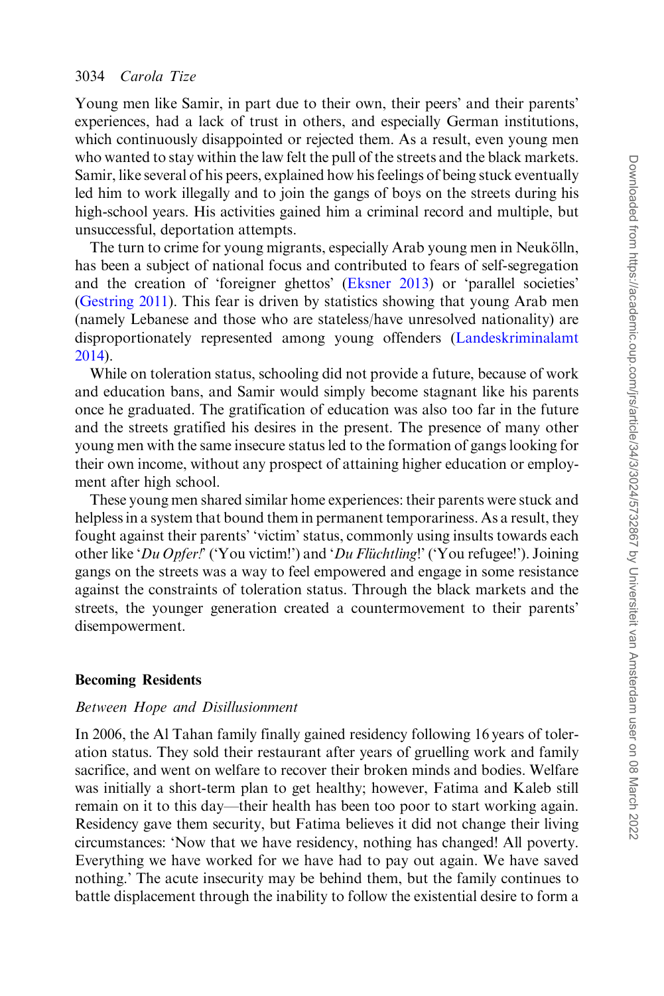Young men like Samir, in part due to their own, their peers' and their parents' experiences, had a lack of trust in others, and especially German institutions, which continuously disappointed or rejected them. As a result, even young men who wanted to stay within the law felt the pull of the streets and the black markets. Samir, like several of his peers, explained how his feelings of being stuck eventually led him to work illegally and to join the gangs of boys on the streets during his high-school years. His activities gained him a criminal record and multiple, but unsuccessful, deportation attempts.

The turn to crime for young migrants, especially Arab young men in Neukölln, has been a subject of national focus and contributed to fears of self-segregation and the creation of 'foreigner ghettos' [\(Eksner 2013\)](#page-18-0) or 'parallel societies' [\(Gestring 2011](#page-19-0)). This fear is driven by statistics showing that young Arab men (namely Lebanese and those who are stateless/have unresolved nationality) are disproportionately represented among young offenders ([Landeskriminalamt](#page-19-0) [2014\)](#page-19-0).

While on toleration status, schooling did not provide a future, because of work and education bans, and Samir would simply become stagnant like his parents once he graduated. The gratification of education was also too far in the future and the streets gratified his desires in the present. The presence of many other young men with the same insecure status led to the formation of gangs looking for their own income, without any prospect of attaining higher education or employment after high school.

These young men shared similar home experiences: their parents were stuck and helpless in a system that bound them in permanent temporariness. As a result, they fought against their parents' 'victim' status, commonly using insults towards each other like 'Du Opfer!' ('You victim!') and 'Du Flüchtling!' ('You refugee!'). Joining gangs on the streets was a way to feel empowered and engage in some resistance against the constraints of toleration status. Through the black markets and the streets, the younger generation created a countermovement to their parents' disempowerment.

#### Becoming Residents

## Between Hope and Disillusionment

In 2006, the Al Tahan family finally gained residency following 16 years of toleration status. They sold their restaurant after years of gruelling work and family sacrifice, and went on welfare to recover their broken minds and bodies. Welfare was initially a short-term plan to get healthy; however, Fatima and Kaleb still remain on it to this day—their health has been too poor to start working again. Residency gave them security, but Fatima believes it did not change their living circumstances: 'Now that we have residency, nothing has changed! All poverty. Everything we have worked for we have had to pay out again. We have saved nothing.' The acute insecurity may be behind them, but the family continues to battle displacement through the inability to follow the existential desire to form a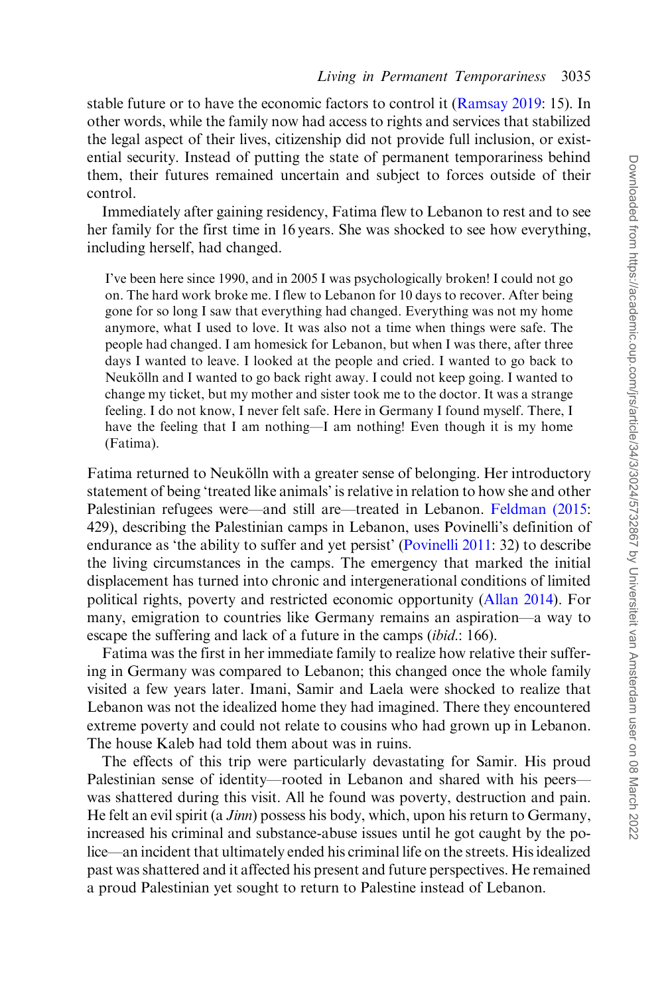stable future or to have the economic factors to control it [\(Ramsay 2019:](#page-20-0) 15). In other words, while the family now had access to rights and services that stabilized the legal aspect of their lives, citizenship did not provide full inclusion, or existential security. Instead of putting the state of permanent temporariness behind them, their futures remained uncertain and subject to forces outside of their control.

Immediately after gaining residency, Fatima flew to Lebanon to rest and to see her family for the first time in 16 years. She was shocked to see how everything, including herself, had changed.

I've been here since 1990, and in 2005 I was psychologically broken! I could not go on. The hard work broke me. I flew to Lebanon for 10 days to recover. After being gone for so long I saw that everything had changed. Everything was not my home anymore, what I used to love. It was also not a time when things were safe. The people had changed. I am homesick for Lebanon, but when I was there, after three days I wanted to leave. I looked at the people and cried. I wanted to go back to Neukölln and I wanted to go back right away. I could not keep going. I wanted to change my ticket, but my mother and sister took me to the doctor. It was a strange feeling. I do not know, I never felt safe. Here in Germany I found myself. There, I have the feeling that I am nothing—I am nothing! Even though it is my home (Fatima).

Fatima returned to Neukölln with a greater sense of belonging. Her introductory statement of being 'treated like animals' is relative in relation to how she and other Palestinian refugees were—and still are—treated in Lebanon. [Feldman \(2015](#page-19-0): 429), describing the Palestinian camps in Lebanon, uses Povinelli's definition of endurance as 'the ability to suffer and yet persist' [\(Povinelli 2011:](#page-19-0) 32) to describe the living circumstances in the camps. The emergency that marked the initial displacement has turned into chronic and intergenerational conditions of limited political rights, poverty and restricted economic opportunity [\(Allan 2014\)](#page-18-0). For many, emigration to countries like Germany remains an aspiration—a way to escape the suffering and lack of a future in the camps *(ibid.*: 166).

Fatima was the first in her immediate family to realize how relative their suffering in Germany was compared to Lebanon; this changed once the whole family visited a few years later. Imani, Samir and Laela were shocked to realize that Lebanon was not the idealized home they had imagined. There they encountered extreme poverty and could not relate to cousins who had grown up in Lebanon. The house Kaleb had told them about was in ruins.

The effects of this trip were particularly devastating for Samir. His proud Palestinian sense of identity—rooted in Lebanon and shared with his peers was shattered during this visit. All he found was poverty, destruction and pain. He felt an evil spirit (a Jinn) possess his body, which, upon his return to Germany, increased his criminal and substance-abuse issues until he got caught by the police—an incident that ultimately ended his criminal life on the streets. His idealized past was shattered and it affected his present and future perspectives. He remained a proud Palestinian yet sought to return to Palestine instead of Lebanon.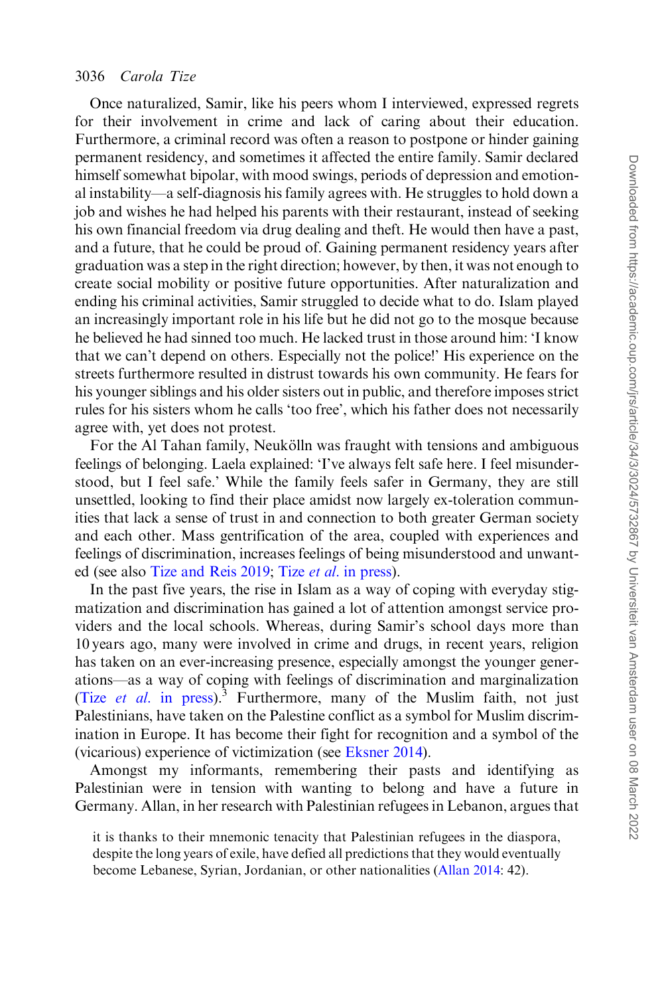Once naturalized, Samir, like his peers whom I interviewed, expressed regrets for their involvement in crime and lack of caring about their education. Furthermore, a criminal record was often a reason to postpone or hinder gaining permanent residency, and sometimes it affected the entire family. Samir declared himself somewhat bipolar, with mood swings, periods of depression and emotional instability—a self-diagnosis his family agrees with. He struggles to hold down a job and wishes he had helped his parents with their restaurant, instead of seeking his own financial freedom via drug dealing and theft. He would then have a past, and a future, that he could be proud of. Gaining permanent residency years after graduation was a step in the right direction; however, by then, it was not enough to create social mobility or positive future opportunities. After naturalization and ending his criminal activities, Samir struggled to decide what to do. Islam played an increasingly important role in his life but he did not go to the mosque because he believed he had sinned too much. He lacked trust in those around him: 'I know that we can't depend on others. Especially not the police!' His experience on the streets furthermore resulted in distrust towards his own community. He fears for his younger siblings and his older sisters out in public, and therefore imposes strict rules for his sisters whom he calls 'too free', which his father does not necessarily agree with, yet does not protest.

For the Al Tahan family, Neukölln was fraught with tensions and ambiguous feelings of belonging. Laela explained: 'I've always felt safe here. I feel misunderstood, but I feel safe.' While the family feels safer in Germany, they are still unsettled, looking to find their place amidst now largely ex-toleration communities that lack a sense of trust in and connection to both greater German society and each other. Mass gentrification of the area, coupled with experiences and feelings of discrimination, increases feelings of being misunderstood and unwanted (see also [Tize and Reis 2019;](#page-20-0) Tize et al[. in press](#page-20-0)).

In the past five years, the rise in Islam as a way of coping with everyday stigmatization and discrimination has gained a lot of attention amongst service providers and the local schools. Whereas, during Samir's school days more than 10 years ago, many were involved in crime and drugs, in recent years, religion has taken on an ever-increasing presence, especially amongst the younger generations—as a way of coping with feelings of discrimination and marginalization (Tize *et al.* in press).<sup>3</sup> Furthermore, many of the Muslim faith, not just Palestinians, have taken on the Palestine conflict as a symbol for Muslim discrimination in Europe. It has become their fight for recognition and a symbol of the (vicarious) experience of victimization (see [Eksner 2014\)](#page-18-0).

Amongst my informants, remembering their pasts and identifying as Palestinian were in tension with wanting to belong and have a future in Germany. Allan, in her research with Palestinian refugees in Lebanon, argues that

it is thanks to their mnemonic tenacity that Palestinian refugees in the diaspora, despite the long years of exile, have defied all predictions that they would eventually become Lebanese, Syrian, Jordanian, or other nationalities [\(Allan 2014:](#page-18-0) 42).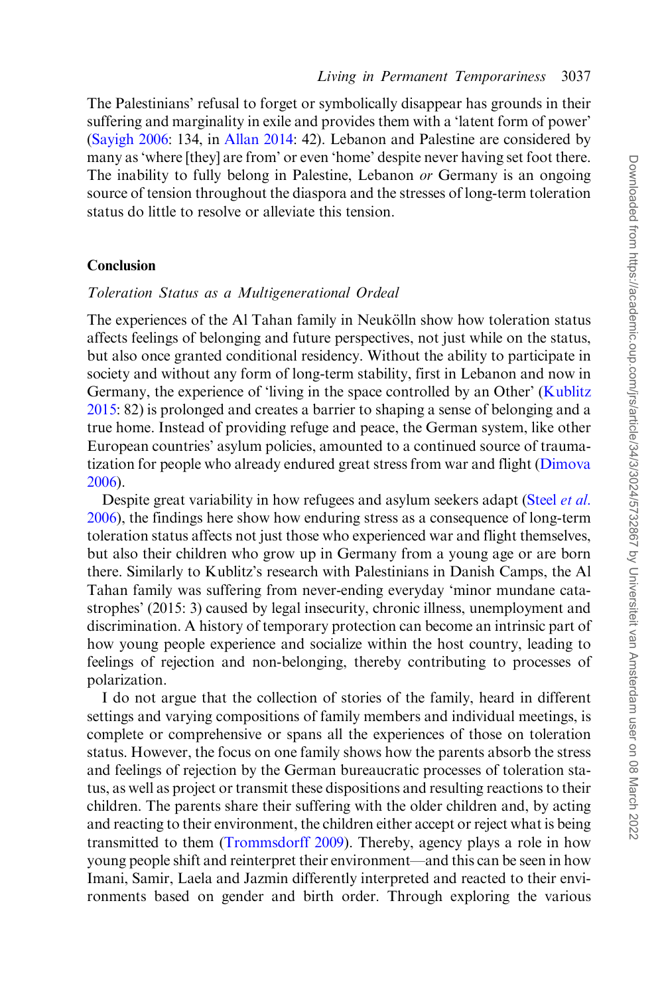The Palestinians' refusal to forget or symbolically disappear has grounds in their suffering and marginality in exile and provides them with a 'latent form of power' [\(Sayigh 2006](#page-20-0): 134, in [Allan 2014](#page-18-0): 42). Lebanon and Palestine are considered by many as 'where [they] are from' or even 'home' despite never having set foot there. The inability to fully belong in Palestine, Lebanon *or* Germany is an ongoing source of tension throughout the diaspora and the stresses of long-term toleration status do little to resolve or alleviate this tension.

### **Conclusion**

#### Toleration Status as a Multigenerational Ordeal

The experiences of the Al Tahan family in Neukölln show how toleration status affects feelings of belonging and future perspectives, not just while on the status, but also once granted conditional residency. Without the ability to participate in society and without any form of long-term stability, first in Lebanon and now in Germany, the experience of 'living in the space controlled by an Other' [\(Kublitz](#page-19-0) [2015:](#page-19-0) 82) is prolonged and creates a barrier to shaping a sense of belonging and a true home. Instead of providing refuge and peace, the German system, like other European countries' asylum policies, amounted to a continued source of traumatization for people who already endured great stress from war and flight ([Dimova](#page-18-0) [2006\)](#page-18-0).

Despite great variability in how refugees and asylum seekers adapt [\(Steel](#page-20-0) *et al.*) [2006\)](#page-20-0), the findings here show how enduring stress as a consequence of long-term toleration status affects not just those who experienced war and flight themselves, but also their children who grow up in Germany from a young age or are born there. Similarly to Kublitz's research with Palestinians in Danish Camps, the Al Tahan family was suffering from never-ending everyday 'minor mundane catastrophes' (2015: 3) caused by legal insecurity, chronic illness, unemployment and discrimination. A history of temporary protection can become an intrinsic part of how young people experience and socialize within the host country, leading to feelings of rejection and non-belonging, thereby contributing to processes of polarization.

I do not argue that the collection of stories of the family, heard in different settings and varying compositions of family members and individual meetings, is complete or comprehensive or spans all the experiences of those on toleration status. However, the focus on one family shows how the parents absorb the stress and feelings of rejection by the German bureaucratic processes of toleration status, as well as project or transmit these dispositions and resulting reactions to their children. The parents share their suffering with the older children and, by acting and reacting to their environment, the children either accept or reject what is being transmitted to them [\(Trommsdorff 2009](#page-20-0)). Thereby, agency plays a role in how young people shift and reinterpret their environment—and this can be seen in how Imani, Samir, Laela and Jazmin differently interpreted and reacted to their environments based on gender and birth order. Through exploring the various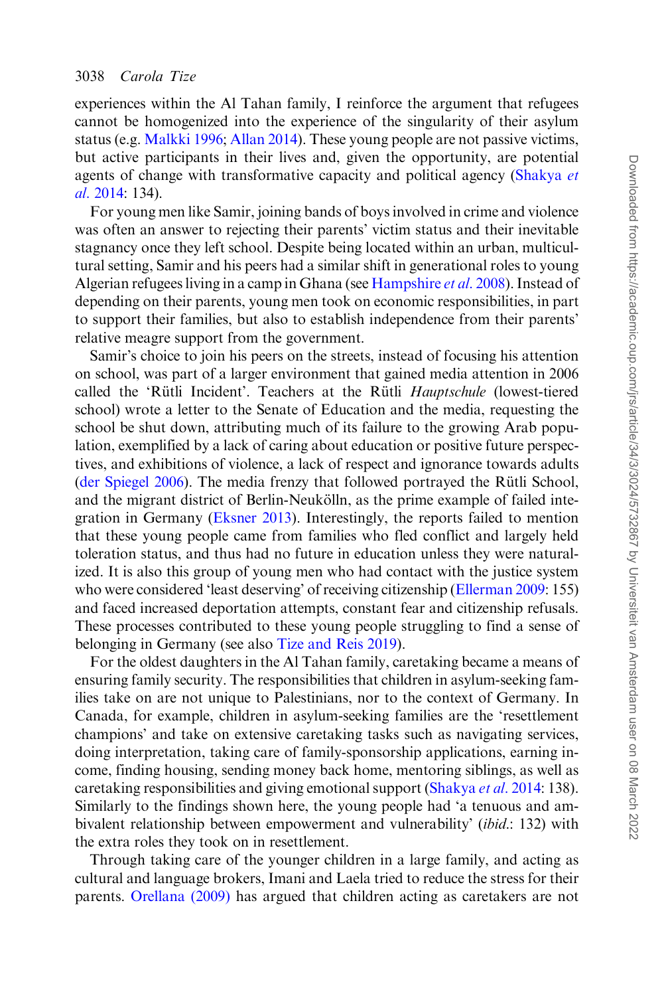experiences within the Al Tahan family, I reinforce the argument that refugees cannot be homogenized into the experience of the singularity of their asylum status (e.g. [Malkki 1996;](#page-19-0) [Allan 2014](#page-18-0)). These young people are not passive victims, but active participants in their lives and, given the opportunity, are potential agents of change with transformative capacity and political agency ([Shakya](#page-20-0) et al[. 2014](#page-20-0): 134).

For young men like Samir, joining bands of boys involved in crime and violence was often an answer to rejecting their parents' victim status and their inevitable stagnancy once they left school. Despite being located within an urban, multicultural setting, Samir and his peers had a similar shift in generational roles to young Algerian refugees living in a camp in Ghana (see [Hampshire](#page-19-0) et al. 2008). Instead of depending on their parents, young men took on economic responsibilities, in part to support their families, but also to establish independence from their parents' relative meagre support from the government.

Samir's choice to join his peers on the streets, instead of focusing his attention on school, was part of a larger environment that gained media attention in 2006 called the 'Rütli Incident'. Teachers at the Rütli Hauptschule (lowest-tiered school) wrote a letter to the Senate of Education and the media, requesting the school be shut down, attributing much of its failure to the growing Arab population, exemplified by a lack of caring about education or positive future perspectives, and exhibitions of violence, a lack of respect and ignorance towards adults [\(der Spiegel 2006](#page-18-0)). The media frenzy that followed portrayed the Rütli School, and the migrant district of Berlin-Neukölln, as the prime example of failed integration in Germany [\(Eksner 2013](#page-18-0)). Interestingly, the reports failed to mention that these young people came from families who fled conflict and largely held toleration status, and thus had no future in education unless they were naturalized. It is also this group of young men who had contact with the justice system who were considered 'least deserving' of receiving citizenship [\(Ellerman 2009](#page-18-0): 155) and faced increased deportation attempts, constant fear and citizenship refusals. These processes contributed to these young people struggling to find a sense of belonging in Germany (see also [Tize and Reis 2019](#page-20-0)).

For the oldest daughters in the Al Tahan family, caretaking became a means of ensuring family security. The responsibilities that children in asylum-seeking families take on are not unique to Palestinians, nor to the context of Germany. In Canada, for example, children in asylum-seeking families are the 'resettlement champions' and take on extensive caretaking tasks such as navigating services, doing interpretation, taking care of family-sponsorship applications, earning income, finding housing, sending money back home, mentoring siblings, as well as caretaking responsibilities and giving emotional support [\(Shakya](#page-20-0) *et al.* 2014: 138). Similarly to the findings shown here, the young people had 'a tenuous and ambivalent relationship between empowerment and vulnerability' (ibid.: 132) with the extra roles they took on in resettlement.

Through taking care of the younger children in a large family, and acting as cultural and language brokers, Imani and Laela tried to reduce the stress for their parents. [Orellana \(2009\)](#page-19-0) has argued that children acting as caretakers are not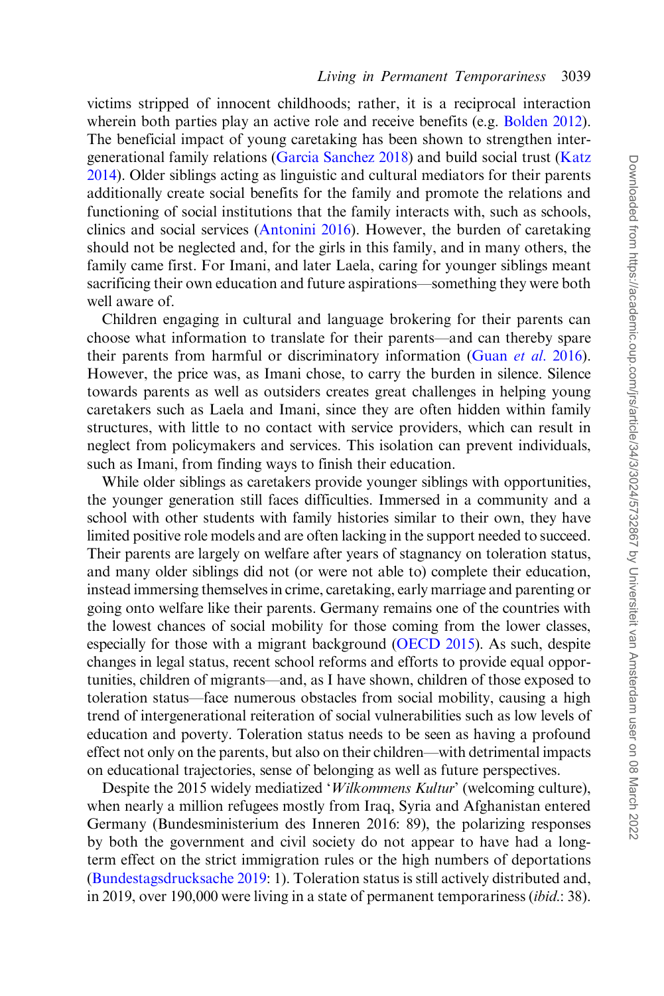victims stripped of innocent childhoods; rather, it is a reciprocal interaction wherein both parties play an active role and receive benefits (e.g. [Bolden 2012](#page-18-0)). The beneficial impact of young caretaking has been shown to strengthen intergenerational family relations [\(Garcia Sanchez 2018](#page-19-0)) and build social trust [\(Katz](#page-19-0) [2014\)](#page-19-0). Older siblings acting as linguistic and cultural mediators for their parents additionally create social benefits for the family and promote the relations and functioning of social institutions that the family interacts with, such as schools, clinics and social services ([Antonini 2016\)](#page-18-0). However, the burden of caretaking should not be neglected and, for the girls in this family, and in many others, the family came first. For Imani, and later Laela, caring for younger siblings meant sacrificing their own education and future aspirations—something they were both well aware of.

Children engaging in cultural and language brokering for their parents can choose what information to translate for their parents—and can thereby spare their parents from harmful or discriminatory information (Guan et al[. 2016](#page-19-0)). However, the price was, as Imani chose, to carry the burden in silence. Silence towards parents as well as outsiders creates great challenges in helping young caretakers such as Laela and Imani, since they are often hidden within family structures, with little to no contact with service providers, which can result in neglect from policymakers and services. This isolation can prevent individuals, such as Imani, from finding ways to finish their education.

While older siblings as caretakers provide younger siblings with opportunities, the younger generation still faces difficulties. Immersed in a community and a school with other students with family histories similar to their own, they have limited positive role models and are often lacking in the support needed to succeed. Their parents are largely on welfare after years of stagnancy on toleration status, and many older siblings did not (or were not able to) complete their education, instead immersing themselves in crime, caretaking, early marriage and parenting or going onto welfare like their parents. Germany remains one of the countries with the lowest chances of social mobility for those coming from the lower classes, especially for those with a migrant background [\(OECD 2015\)](#page-19-0). As such, despite changes in legal status, recent school reforms and efforts to provide equal opportunities, children of migrants—and, as I have shown, children of those exposed to toleration status—face numerous obstacles from social mobility, causing a high trend of intergenerational reiteration of social vulnerabilities such as low levels of education and poverty. Toleration status needs to be seen as having a profound effect not only on the parents, but also on their children—with detrimental impacts on educational trajectories, sense of belonging as well as future perspectives.

Despite the 2015 widely mediatized 'Wilkommens Kultur' (welcoming culture), when nearly a million refugees mostly from Iraq, Syria and Afghanistan entered Germany (Bundesministerium des Inneren 2016: 89), the polarizing responses by both the government and civil society do not appear to have had a longterm effect on the strict immigration rules or the high numbers of deportations [\(Bundestagsdrucksache 2019:](#page-18-0) 1). Toleration status is still actively distributed and, in 2019, over 190,000 were living in a state of permanent temporariness (ibid.: 38).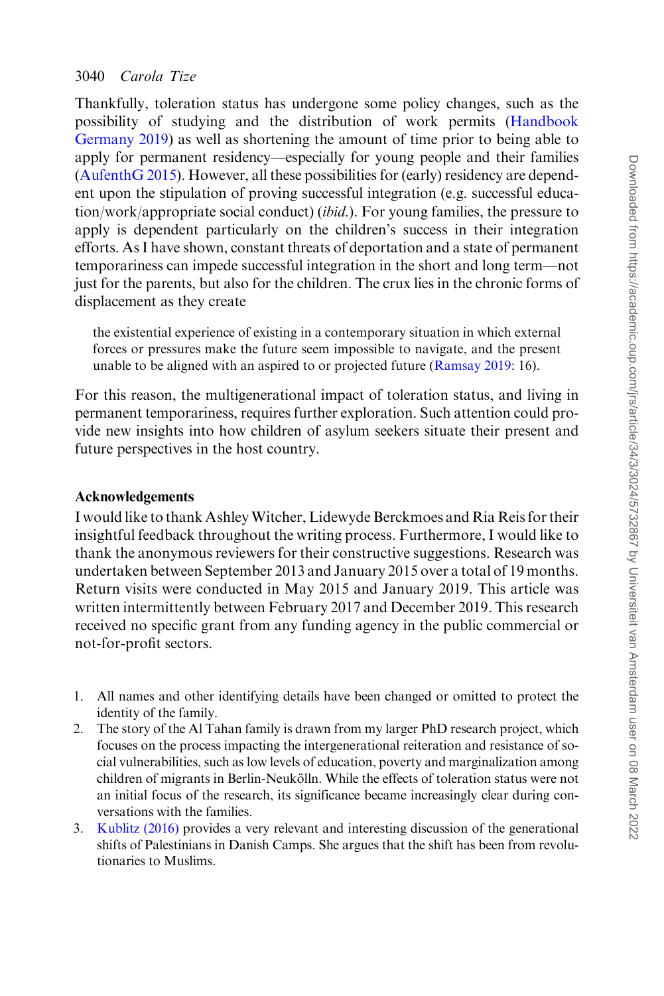Thankfully, toleration status has undergone some policy changes, such as the possibility of studying and the distribution of work permits [\(Handbook](#page-19-0) [Germany 2019](#page-19-0)) as well as shortening the amount of time prior to being able to apply for permanent residency—especially for young people and their families [\(AufenthG 2015\)](#page-18-0). However, all these possibilities for (early) residency are dependent upon the stipulation of proving successful integration (e.g. successful education/work/appropriate social conduct) *(ibid.)*. For young families, the pressure to apply is dependent particularly on the children's success in their integration efforts. As I have shown, constant threats of deportation and a state of permanent temporariness can impede successful integration in the short and long term—not just for the parents, but also for the children. The crux lies in the chronic forms of displacement as they create

the existential experience of existing in a contemporary situation in which external forces or pressures make the future seem impossible to navigate, and the present unable to be aligned with an aspired to or projected future [\(Ramsay 2019:](#page-20-0) 16).

For this reason, the multigenerational impact of toleration status, and living in permanent temporariness, requires further exploration. Such attention could provide new insights into how children of asylum seekers situate their present and future perspectives in the host country.

#### Acknowledgements

I would like to thank AshleyWitcher, Lidewyde Berckmoes and Ria Reis for their insightful feedback throughout the writing process. Furthermore, I would like to thank the anonymous reviewers for their constructive suggestions. Research was undertaken between September 2013 and January 2015 over a total of 19 months. Return visits were conducted in May 2015 and January 2019. This article was written intermittently between February 2017 and December 2019. This research received no specific grant from any funding agency in the public commercial or not-for-profit sectors.

- 1. All names and other identifying details have been changed or omitted to protect the identity of the family.
- 2. The story of the Al Tahan family is drawn from my larger PhD research project, which focuses on the process impacting the intergenerational reiteration and resistance of social vulnerabilities, such as low levels of education, poverty and marginalization among children of migrants in Berlin-Neukölln. While the effects of toleration status were not an initial focus of the research, its significance became increasingly clear during conversations with the families.
- 3. [Kublitz \(2016\)](#page-19-0) provides a very relevant and interesting discussion of the generational shifts of Palestinians in Danish Camps. She argues that the shift has been from revolutionaries to Muslims.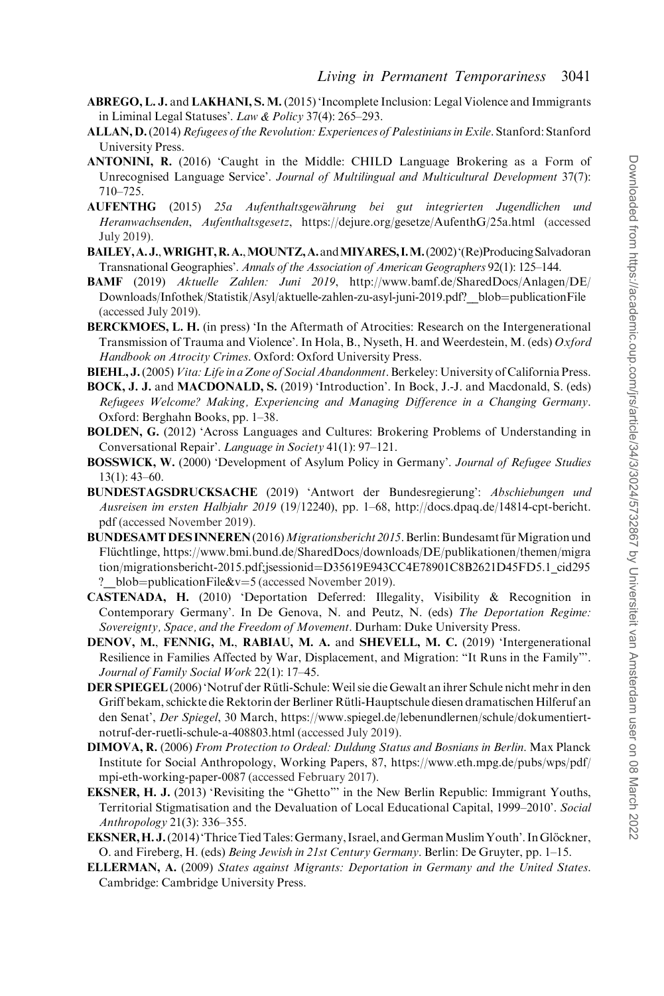- <span id="page-18-0"></span>ABREGO, L. J. and LAKHANI, S. M. (2015) 'Incomplete Inclusion: Legal Violence and Immigrants in Liminal Legal Statuses'. Law & Policy 37(4): 265–293.
- ALLAN, D. (2014) Refugees of the Revolution: Experiences of Palestinians in Exile. Stanford: Stanford University Press.
- ANTONINI, R. (2016) 'Caught in the Middle: CHILD Language Brokering as a Form of Unrecognised Language Service'. Journal of Multilingual and Multicultural Development 37(7): 710–725.
- AUFENTHG (2015) 25a Aufenthaltsgewährung bei gut integrierten Jugendlichen und Heranwachsenden, Aufenthaltsgesetz,<https://dejure.org/gesetze/AufenthG/25a.html> (accessed July 2019).
- BAILEY,A. J.,WRIGHT,R.A.,MOUNTZ,A.andMIYARES, I.M.(2002)'(Re)Producing Salvadoran Transnational Geographies'. Annals of the Association of American Geographers 92(1): 125–144.
- BAMF (2019) Aktuelle Zahlen: Juni 2019, [http://www.bamf.de/SharedDocs/Anlagen/DE/](http://www.bamf.de/SharedDocs/Anlagen/DE/Downloads/Infothek/Statistik/Asyl/aktuelle-zahlen-zu-asyl-juni-2019.pdf?__blob=publicationFile) Downloads/Infothek/Statistik/Asyl/aktuelle-zahlen-zu-asyl-juni-2019.pdf? blob=[publicationFile](http://www.bamf.de/SharedDocs/Anlagen/DE/Downloads/Infothek/Statistik/Asyl/aktuelle-zahlen-zu-asyl-juni-2019.pdf?__blob=publicationFile) (accessed July 2019).
- BERCKMOES, L. H. (in press) 'In the Aftermath of Atrocities: Research on the Intergenerational Transmission of Trauma and Violence'. In Hola, B., Nyseth, H. and Weerdestein, M. (eds) Oxford Handbook on Atrocity Crimes. Oxford: Oxford University Press.
- BIEHL, J. (2005) Vita: Life in a Zone of Social Abandonment. Berkeley: University of California Press.
- BOCK, J. J. and MACDONALD, S. (2019) 'Introduction'. In Bock, J.-J. and Macdonald, S. (eds) Refugees Welcome? Making, Experiencing and Managing Difference in a Changing Germany. Oxford: Berghahn Books, pp. 1–38.
- BOLDEN, G. (2012) 'Across Languages and Cultures: Brokering Problems of Understanding in Conversational Repair'. Language in Society 41(1): 97–121.
- BOSSWICK, W. (2000) 'Development of Asylum Policy in Germany'. Journal of Refugee Studies 13(1): 43–60.
- BUNDESTAGSDRUCKSACHE (2019) 'Antwort der Bundesregierung': Abschiebungen und Ausreisen im ersten Halbjahr 2019 (19/12240), pp. 1–68, [http://docs.dpaq.de/14814-cpt-bericht.](http://docs.dpaq.de/14814-cpt-bericht.pdf ) [pdf](http://docs.dpaq.de/14814-cpt-bericht.pdf ) (accessed November 2019).
- BUNDESAMT DES INNEREN (2016) Migrationsbericht 2015. Berlin: Bundesamt für Migration und Flüchtlinge, [https://www.bmi.bund.de/SharedDocs/downloads/DE/publikationen/themen/migra](https://www.bmi.bund.de/SharedDocs/downloads/DE/publikationen/themen/migration/migrationsbericht-2015.pdf;jsessionid=D35619E943CC4E78901C8B2621D45FD5.1_cid295?__blob=publicationFile&hx0026;v=5) [tion/migrationsbericht-2015.pdf;jsessionid](https://www.bmi.bund.de/SharedDocs/downloads/DE/publikationen/themen/migration/migrationsbericht-2015.pdf;jsessionid=D35619E943CC4E78901C8B2621D45FD5.1_cid295?__blob=publicationFile&hx0026;v=5)=[D35619E943CC4E78901C8B2621D45FD5.1\\_cid295](https://www.bmi.bund.de/SharedDocs/downloads/DE/publikationen/themen/migration/migrationsbericht-2015.pdf;jsessionid=D35619E943CC4E78901C8B2621D45FD5.1_cid295?__blob=publicationFile&hx0026;v=5) ? blob=[publicationFile&v](https://www.bmi.bund.de/SharedDocs/downloads/DE/publikationen/themen/migration/migrationsbericht-2015.pdf;jsessionid=D35619E943CC4E78901C8B2621D45FD5.1_cid295?__blob=publicationFile&hx0026;v=5)=[5](https://www.bmi.bund.de/SharedDocs/downloads/DE/publikationen/themen/migration/migrationsbericht-2015.pdf;jsessionid=D35619E943CC4E78901C8B2621D45FD5.1_cid295?__blob=publicationFile&hx0026;v=5) (accessed November 2019).
- CASTENADA, H. (2010) 'Deportation Deferred: Illegality, Visibility & Recognition in Contemporary Germany'. In De Genova, N. and Peutz, N. (eds) The Deportation Regime: Sovereignty, Space, and the Freedom of Movement. Durham: Duke University Press.
- DENOV, M., FENNIG, M., RABIAU, M. A. and SHEVELL, M. C. (2019) 'Intergenerational Resilience in Families Affected by War, Displacement, and Migration: "It Runs in the Family"'. Journal of Family Social Work 22(1): 17–45.
- DER SPIEGEL (2006) 'Notruf der Rütli-Schule: Weil sie die Gewalt an ihrer Schule nicht mehr in den Griff bekam, schickte die Rektorin der Berliner Rütli-Hauptschule diesen dramatischen Hilferuf an den Senat', Der Spiegel, 30 March, [https://www.spiegel.de/lebenundlernen/schule/dokumentiert](https://www.spiegel.de/lebenundlernen/schule/dokumentiert-notruf-der-ruetli-schule-a-408803.html)[notruf-der-ruetli-schule-a-408803.html](https://www.spiegel.de/lebenundlernen/schule/dokumentiert-notruf-der-ruetli-schule-a-408803.html) (accessed July 2019).
- DIMOVA, R. (2006) From Protection to Ordeal: Duldung Status and Bosnians in Berlin. Max Planck Institute for Social Anthropology, Working Papers, 87, [https://www.eth.mpg.de/pubs/wps/pdf/](https://www.eth.mpg.de/pubs/wps/pdf/mpi-eth-working-paper-0087) [mpi-eth-working-paper-0087](https://www.eth.mpg.de/pubs/wps/pdf/mpi-eth-working-paper-0087) (accessed February 2017).
- EKSNER, H. J. (2013) 'Revisiting the "Ghetto"' in the New Berlin Republic: Immigrant Youths, Territorial Stigmatisation and the Devaluation of Local Educational Capital, 1999–2010'. Social Anthropology 21(3): 336–355.
- EKSNER, H. J. (2014) 'Thrice Tied Tales: Germany, Israel, and German Muslim Youth'. In Glöckner, O. and Fireberg, H. (eds) Being Jewish in 21st Century Germany. Berlin: De Gruyter, pp. 1–15.
- ELLERMAN, A. (2009) States against Migrants: Deportation in Germany and the United States. Cambridge: Cambridge University Press.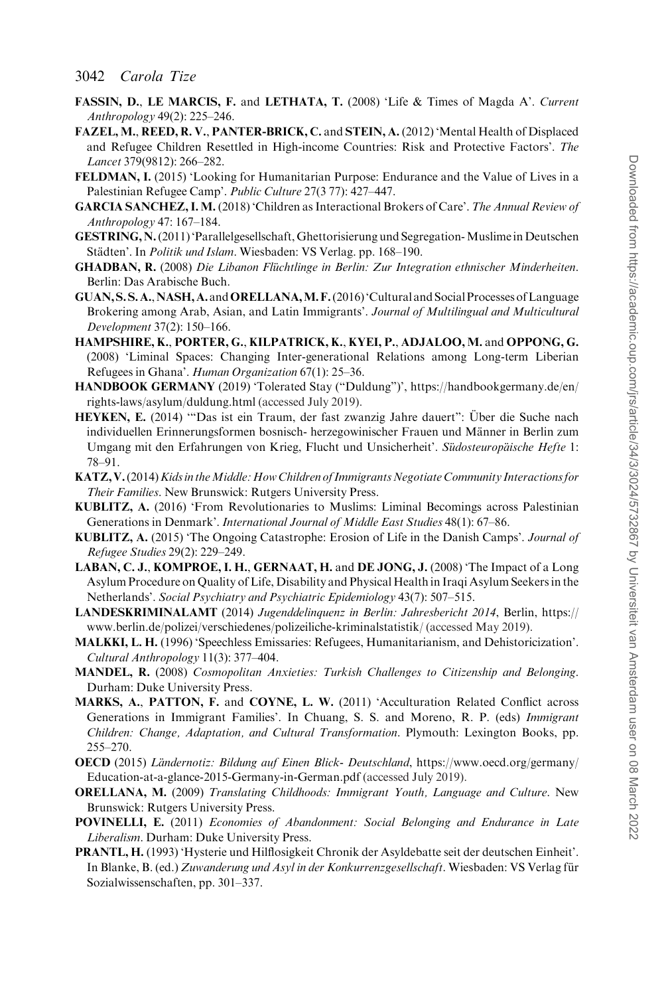- <span id="page-19-0"></span>FASSIN, D., LE MARCIS, F. and LETHATA, T. (2008) 'Life & Times of Magda A'. Current Anthropology 49(2): 225–246.
- FAZEL, M., REED, R. V., PANTER-BRICK, C. and STEIN, A. (2012) 'Mental Health of Displaced and Refugee Children Resettled in High-income Countries: Risk and Protective Factors'. The Lancet 379(9812): 266–282.
- FELDMAN, I. (2015) 'Looking for Humanitarian Purpose: Endurance and the Value of Lives in a Palestinian Refugee Camp'. Public Culture 27(3 77): 427–447.
- GARCIA SANCHEZ, I. M. (2018) 'Children as Interactional Brokers of Care'. The Annual Review of Anthropology 47: 167–184.
- GESTRING, N.(2011) 'Parallelgesellschaft, Ghettorisierung und Segregation-Muslime in Deutschen Städten'. In *Politik und Islam*. Wiesbaden: VS Verlag. pp. 168–190.
- GHADBAN, R. (2008) Die Libanon Flüchtlinge in Berlin: Zur Integration ethnischer Minderheiten. Berlin: Das Arabische Buch.
- GUAN,S. S. A.,NASH, A.andORELLANA,M. F.(2016)'Cultural and SocialProcesses ofLanguage Brokering among Arab, Asian, and Latin Immigrants'. Journal of Multilingual and Multicultural Development 37(2): 150–166.
- HAMPSHIRE, K., PORTER, G., KILPATRICK, K., KYEI, P., ADJALOO, M. and OPPONG, G. (2008) 'Liminal Spaces: Changing Inter-generational Relations among Long-term Liberian Refugees in Ghana'. Human Organization 67(1): 25–36.
- HANDBOOK GERMANY (2019) 'Tolerated Stay ("Duldung")', [https://handbookgermany.de/en/](https://handbookgermany.de/en/rights-laws/asylum/duldung.html) [rights-laws/asylum/duldung.html](https://handbookgermany.de/en/rights-laws/asylum/duldung.html) (accessed July 2019).
- HEYKEN, E. (2014) "Das ist ein Traum, der fast zwanzig Jahre dauert": Über die Suche nach individuellen Erinnerungsformen bosnisch- herzegowinischer Frauen und Männer in Berlin zum Umgang mit den Erfahrungen von Krieg, Flucht und Unsicherheit'. Südosteuropäische Hefte 1: 78–91.
- KATZ, V. (2014) Kids in the Middle: How Children of Immigrants Negotiate Community Interactions for Their Families. New Brunswick: Rutgers University Press.
- KUBLITZ, A. (2016) 'From Revolutionaries to Muslims: Liminal Becomings across Palestinian Generations in Denmark'. International Journal of Middle East Studies 48(1): 67–86.
- KUBLITZ, A. (2015) 'The Ongoing Catastrophe: Erosion of Life in the Danish Camps'. Journal of Refugee Studies 29(2): 229–249.
- LABAN, C. J., KOMPROE, I. H., GERNAAT, H. and DE JONG, J. (2008) 'The Impact of a Long Asylum Procedure on Quality of Life, Disability and Physical Health in Iraqi Asylum Seekers in the Netherlands'. Social Psychiatry and Psychiatric Epidemiology 43(7): 507–515.
- LANDESKRIMINALAMT (2014) Jugenddelinquenz in Berlin: Jahresbericht 2014, Berlin, [https://](https://www.berlin.de/polizei/verschiedenes/polizeiliche-kriminalstatistik/) [www.berlin.de/polizei/verschiedenes/polizeiliche-kriminalstatistik/](https://www.berlin.de/polizei/verschiedenes/polizeiliche-kriminalstatistik/) (accessed May 2019).
- MALKKI, L. H. (1996) 'Speechless Emissaries: Refugees, Humanitarianism, and Dehistoricization'. Cultural Anthropology 11(3): 377–404.
- MANDEL, R. (2008) Cosmopolitan Anxieties: Turkish Challenges to Citizenship and Belonging. Durham: Duke University Press.
- MARKS, A., PATTON, F. and COYNE, L. W. (2011) 'Acculturation Related Conflict across Generations in Immigrant Families'. In Chuang, S. S. and Moreno, R. P. (eds) Immigrant Children: Change, Adaptation, and Cultural Transformation. Plymouth: Lexington Books, pp. 255–270.
- **OECD** (2015) Ländernotiz: Bildung auf Einen Blick- Deutschland, [https://www.oecd.org/germany/](https://www.oecd.org/germany/Education-at-a-glance-2015-Germany-in-German.pdf) [Education-at-a-glance-2015-Germany-in-German.pdf](https://www.oecd.org/germany/Education-at-a-glance-2015-Germany-in-German.pdf) (accessed July 2019).
- ORELLANA, M. (2009) Translating Childhoods: Immigrant Youth, Language and Culture. New Brunswick: Rutgers University Press.
- POVINELLI, E. (2011) Economies of Abandonment: Social Belonging and Endurance in Late Liberalism. Durham: Duke University Press.
- PRANTL, H. (1993) 'Hysterie und Hilflosigkeit Chronik der Asyldebatte seit der deutschen Einheit'. In Blanke, B. (ed.) Zuwanderung und Asyl in der Konkurrenzgesellschaft. Wiesbaden: VS Verlag für Sozialwissenschaften, pp. 301–337.